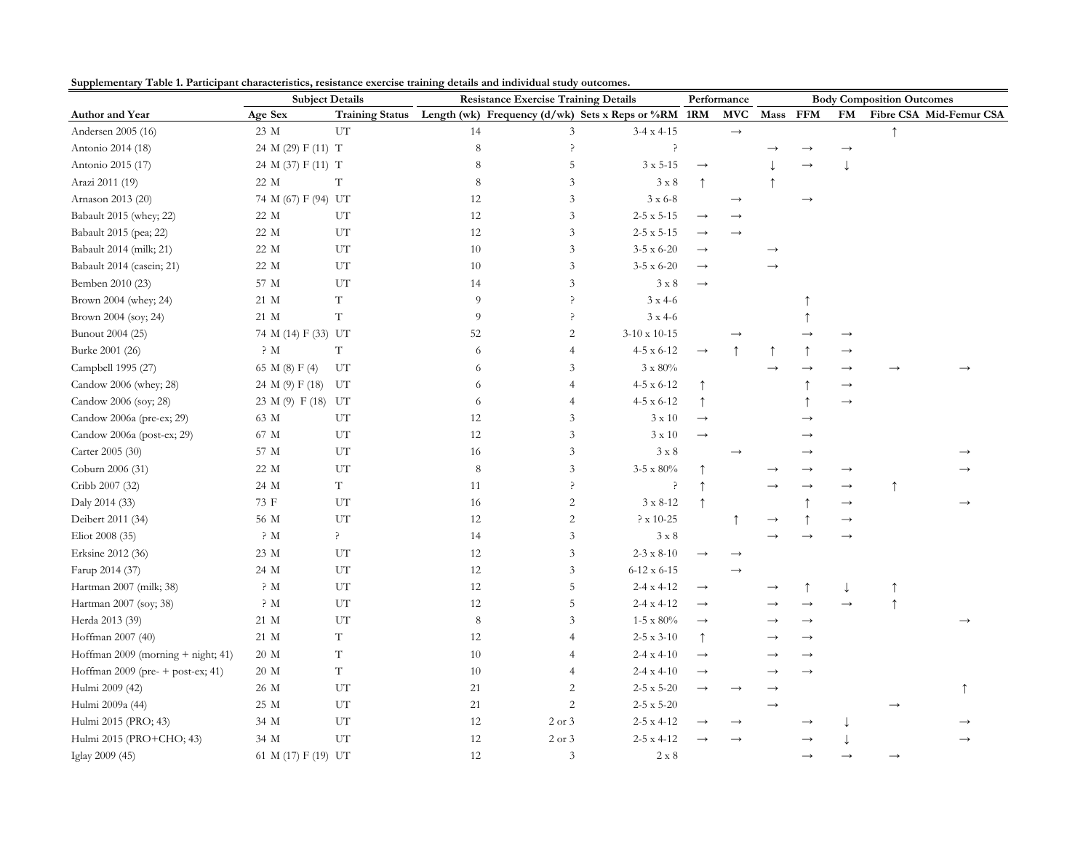|  | Supplementary Table 1. Participant characteristics, resistance exercise training details and individual study outcomes. |  |  |  |
|--|-------------------------------------------------------------------------------------------------------------------------|--|--|--|
|  |                                                                                                                         |  |  |  |

| Supplementary Table 1. I articipant characteristics, resistance exercise training uctans and murvidual study outcomes.<br><b>Subject Details</b> |                     | <b>Resistance Exercise Training Details</b> |             |                |                                                                     | Performance       | <b>Body Composition Outcomes</b> |          |               |                   |               |                         |
|--------------------------------------------------------------------------------------------------------------------------------------------------|---------------------|---------------------------------------------|-------------|----------------|---------------------------------------------------------------------|-------------------|----------------------------------|----------|---------------|-------------------|---------------|-------------------------|
| Author and Year                                                                                                                                  | Age Sex             |                                             |             |                | Training Status Length (wk) Frequency (d/wk) Sets x Reps or %RM 1RM |                   | <b>MVC</b>                       | Mass FFM |               | <b>FM</b>         |               | Fibre CSA Mid-Femur CSA |
| Andersen 2005 (16)                                                                                                                               | 23 M                | UT                                          | 14          | 3              | $3-4 \times 4-15$                                                   |                   | $\longrightarrow$                |          |               |                   |               |                         |
| Antonio 2014 (18)                                                                                                                                | 24 M (29) F (11) T  |                                             | $\,$ 8 $\,$ | p              | ?                                                                   |                   |                                  |          |               |                   |               |                         |
| Antonio 2015 (17)                                                                                                                                | 24 M (37) F (11) T  |                                             | $\,8\,$     | 5              | $3 \times 5 - 15$                                                   | $\longrightarrow$ |                                  |          | $\rightarrow$ | $\downarrow$      |               |                         |
| Arazi 2011 (19)                                                                                                                                  | 22 M                | $\mathbf T$                                 | 8           | 3              | $3 \times 8$                                                        | $\uparrow$        |                                  |          |               |                   |               |                         |
| Arnason 2013 (20)                                                                                                                                | 74 M (67) F (94) UT |                                             | 12          | 3              | $3 \times 6-8$                                                      |                   | $\longrightarrow$                |          | $\rightarrow$ |                   |               |                         |
| Babault 2015 (whey; 22)                                                                                                                          | 22 M                | UT                                          | 12          | 3              | $2\mbox{-}5$ x 5-15                                                 | $\rightarrow$     |                                  |          |               |                   |               |                         |
| Babault 2015 (pea; 22)                                                                                                                           | 22 M                | UT                                          | 12          | 3              | $2 - 5 \times 5 - 15$                                               | $\rightarrow$     |                                  |          |               |                   |               |                         |
| Babault 2014 (milk; 21)                                                                                                                          | 22 M                | UT                                          | 10          | $\mathfrak{Z}$ | $3-5 \times 6-20$                                                   | $\rightarrow$     |                                  |          |               |                   |               |                         |
| Babault 2014 (casein; 21)                                                                                                                        | 22 M                | UT                                          | 10          | 3              | $3-5 \times 6-20$                                                   |                   |                                  |          |               |                   |               |                         |
| Bemben 2010 (23)                                                                                                                                 | 57 M                | UT                                          | 14          | $\mathfrak{Z}$ | $3 \times 8$                                                        | $\rightarrow$     |                                  |          |               |                   |               |                         |
| Brown 2004 (whey; 24)                                                                                                                            | 21 M                | T                                           | 9           | P              | $3 \times 4 - 6$                                                    |                   |                                  |          |               |                   |               |                         |
| Brown 2004 (soy; 24)                                                                                                                             | 21 M                | $\mathbf T$                                 | 9           | 5              | $3$ x $4\mbox{-}6$                                                  |                   |                                  |          |               |                   |               |                         |
| Bunout 2004 (25)                                                                                                                                 | 74 M (14) F (33) UT |                                             | 52          | $\sqrt{2}$     | $3-10 \times 10-15$                                                 |                   |                                  |          |               |                   |               |                         |
| Burke 2001 (26)                                                                                                                                  | $\rm \geq M$        | T                                           | 6           | $\overline{4}$ | $4-5 \times 6-12$                                                   | $\rightarrow$     |                                  |          |               | $\rightarrow$     |               |                         |
| Campbell 1995 (27)                                                                                                                               | 65 M (8) F (4)      | UT                                          | 6           | 3              | $3 \times 80\%$                                                     |                   |                                  |          |               |                   |               |                         |
| Candow 2006 (whey; 28)                                                                                                                           | 24 M (9) F (18)     | UT                                          | 6           | $\overline{4}$ | $4-5 \times 6-12$                                                   |                   |                                  |          |               | $\rightarrow$     |               |                         |
| Candow 2006 (soy; 28)                                                                                                                            | 23 M (9) F (18) UT  |                                             | 6           | $\overline{4}$ | 4-5 x 6-12                                                          |                   |                                  |          |               | $\longrightarrow$ |               |                         |
| Candow 2006a (pre-ex; 29)                                                                                                                        | 63 M                | ${\rm UT}$                                  | 12          | 3              | $3 \times 10$                                                       | $\rightarrow$     |                                  |          |               |                   |               |                         |
| Candow 2006a (post-ex; 29)                                                                                                                       | 67 M                | UT                                          | 12          | 3              | $3 \times 10$                                                       | $\rightarrow$     |                                  |          |               |                   |               |                         |
| Carter 2005 (30)                                                                                                                                 | 57 M                | UT                                          | 16          | 3              | $3 \times 8$                                                        |                   |                                  |          |               |                   |               |                         |
| Coburn 2006 (31)                                                                                                                                 | 22 M                | UT                                          | $\,$ 8 $\,$ | 3              | $3-5 \times 80\%$                                                   |                   |                                  |          | $\rightarrow$ | $\rightarrow$     |               |                         |
| Cribb 2007 (32)                                                                                                                                  | 24 M                | $\mathbf T$                                 | 11          | 5              | ?                                                                   |                   |                                  |          | $\rightarrow$ | $\rightarrow$     |               |                         |
| Daly 2014 (33)                                                                                                                                   | 73 F                | UT                                          | 16          | 2              | $3 \times 8 - 12$                                                   |                   |                                  |          |               | $\rightarrow$     |               |                         |
| Deibert 2011 (34)                                                                                                                                | 56 M                | UT                                          | 12          | $\overline{c}$ | $? x 10-25$                                                         |                   |                                  |          |               | $\rightarrow$     |               |                         |
| Eliot 2008 (35)                                                                                                                                  | $\rm \, > M$        | ?                                           | 14          | $\mathfrak{Z}$ | $3 \times 8$                                                        |                   |                                  |          |               | $\rightarrow$     |               |                         |
| Erksine 2012 (36)                                                                                                                                | 23 M                | UT                                          | 12          | 3              | $2 - 3 \times 8 - 10$                                               |                   |                                  |          |               |                   |               |                         |
| Farup 2014 (37)                                                                                                                                  | 24 M                | ${\rm UT}$                                  | 12          | 3              | $6-12 \times 6-15$                                                  |                   | $\rightarrow$                    |          |               |                   |               |                         |
| Hartman 2007 (milk; 38)                                                                                                                          | $\rm \geq M$        | UT                                          | 12          | 5              | $2 - 4x + 12$                                                       | $\rightarrow$     |                                  |          |               |                   |               |                         |
| Hartman 2007 (soy; 38)                                                                                                                           | $\rm \geq M$        | UT                                          | 12          | 5              | $2-4 \times 4-12$                                                   | $\rightarrow$     |                                  |          | $\rightarrow$ | $\rightarrow$     |               |                         |
| Herda 2013 (39)                                                                                                                                  | 21 M                | UT                                          | 8           | 3              | $1-5 \times 80\%$                                                   | $\rightarrow$     |                                  |          |               |                   |               |                         |
| Hoffman 2007 (40)                                                                                                                                | 21 M                | $\mathbf T$                                 | 12          | $\overline{4}$ | $2-5 \times 3-10$                                                   | ↑                 |                                  |          |               |                   |               |                         |
| Hoffman 2009 (morning + night; 41)                                                                                                               | 20 M                | $\mathbf T$                                 | $10\,$      | $\overline{4}$ | $2-4 x 4-10$                                                        | $\rightarrow$     |                                  |          |               |                   |               |                         |
| Hoffman 2009 (pre- + post-ex; 41)                                                                                                                | 20 M                | $\mathbf T$                                 | 10          | $\overline{4}$ | $2-4x4-10$                                                          | $\rightarrow$     |                                  |          | $\rightarrow$ |                   |               |                         |
| Hulmi 2009 (42)                                                                                                                                  | 26 M                | UT                                          | 21          | 2              | $2 - 5x5 - 20$                                                      | $\rightarrow$     |                                  |          |               |                   |               |                         |
| Hulmi 2009a (44)                                                                                                                                 | 25 M                | ${\rm UT}$                                  | $21\,$      | $\overline{2}$ | $2-5x5-20$                                                          |                   |                                  |          |               |                   | $\rightarrow$ |                         |
| Hulmi 2015 (PRO; 43)                                                                                                                             | 34 M                | UT                                          | 12          | $2$ or $3$     | $2 - 5x 4 - 12$                                                     |                   |                                  |          |               |                   |               |                         |
| Hulmi 2015 (PRO+CHO; 43)                                                                                                                         | 34 M                | UT                                          | 12          | 2 or 3         | $2 - 5x 4 - 12$                                                     |                   |                                  |          |               |                   |               |                         |
| Iglay 2009 (45)                                                                                                                                  | 61 M (17) F (19) UT |                                             | 12          | 3              | $2 \times 8$                                                        |                   |                                  |          |               |                   |               |                         |